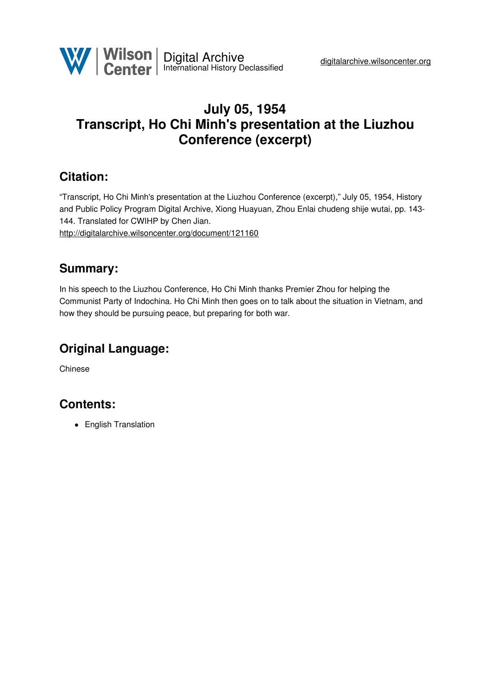## **July 05, 1954 Transcript, Ho Chi Minh's presentation at the Liuzhou Conference (excerpt)**

## **Citation:**

"Transcript, Ho Chi Minh's presentation at the Liuzhou Conference (excerpt)," July 05, 1954, History and Public Policy Program Digital Archive, Xiong Huayuan, Zhou Enlai chudeng shije wutai, pp. 143- 144. Translated for CWIHP by Chen Jian. <http://digitalarchive.wilsoncenter.org/document/121160>

#### **Summary:**

In his speech to the Liuzhou Conference, Ho Chi Minh thanks Premier Zhou for helping the Communist Party of Indochina. Ho Chi Minh then goes on to talk about the situation in Vietnam, and how they should be pursuing peace, but preparing for both war.

# **Original Language:**

Chinese

## **Contents:**

• English Translation